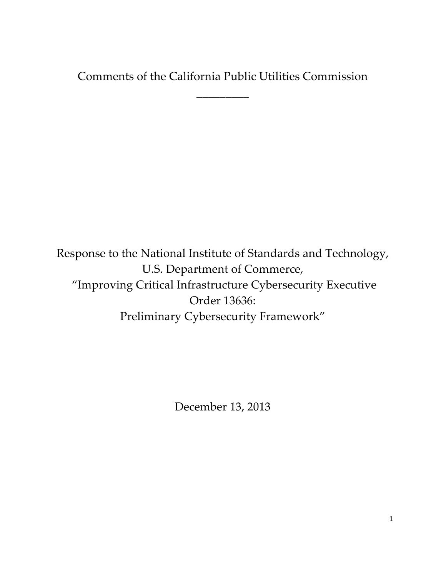Comments of the California Public Utilities Commission

\_\_\_\_\_\_\_\_\_

 Response to the National Institute of Standards and Technology, U.S. Department of Commerce, "Improving Critical Infrastructure Cybersecurity Executive Order 13636: Preliminary Cybersecurity Framework"

December 13, 2013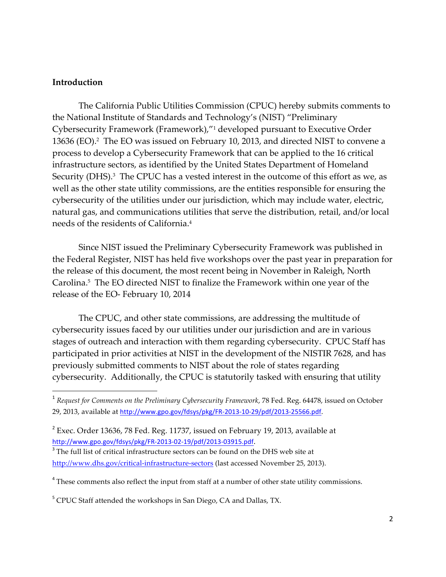#### **Introduction**

 The California Public Utilities Commission (CPUC) hereby submits comments to 13636 (EO).<sup>2</sup> The EO was issued on February 10, 2013, and directed NIST to convene a Security (DHS). $^3$  The CPUC has a vested interest in the outcome of this effort as we, as needs of the residents of California.4 the National Institute of Standards and Technology's (NIST) "Preliminary Cybersecurity Framework (Framework),"1 developed pursuant to Executive Order process to develop a Cybersecurity Framework that can be applied to the 16 critical infrastructure sectors, as identified by the United States Department of Homeland well as the other state utility commissions, are the entities responsible for ensuring the cybersecurity of the utilities under our jurisdiction, which may include water, electric, natural gas, and communications utilities that serve the distribution, retail, and/or local

 Carolina.5 The EO directed NIST to finalize the Framework within one year of the Since NIST issued the Preliminary Cybersecurity Framework was published in the Federal Register, NIST has held five workshops over the past year in preparation for the release of this document, the most recent being in November in Raleigh, North release of the EO- February 10, 2014

 cybersecurity issues faced by our utilities under our jurisdiction and are in various stages of outreach and interaction with them regarding cybersecurity. CPUC Staff has The CPUC, and other state commissions, are addressing the multitude of participated in prior activities at NIST in the development of the NISTIR 7628, and has previously submitted comments to NIST about the role of states regarding cybersecurity. Additionally, the CPUC is statutorily tasked with ensuring that utility

 <sup>1</sup> *Request for Comments on the Preliminary Cybersecurity Framework*, 78 Fed. Reg. 64478, issued on October 29, 2013, available at http://www.gpo.gov/fdsys/pkg/FR-2013-10-29/pdf/2013-25566.pdf.

 $2^{2}$  Exec. Order 13636, 78 Fed. Reg. 11737, issued on February 19, 2013, available at http://www.gpo.gov/fdsys/pkg/FR-2013-02-19/pdf/2013-03915.pdf.

 $3$  The full list of critical infrastructure sectors can be found on the DHS web site at http://www.dhs.gov/critical-infrastructure-sectors (last accessed November 25, 2013).

 $4$  These comments also reflect the input from staff at a number of other state utility commissions.

<sup>&</sup>lt;sup>5</sup> CPUC Staff attended the workshops in San Diego, CA and Dallas, TX.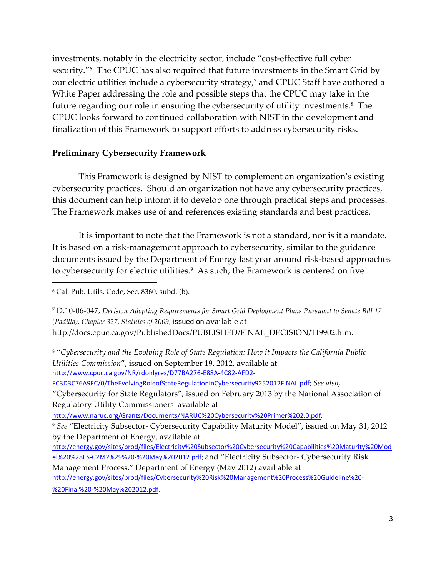security."6 The CPUC has also required that future investments in the Smart Grid by future regarding our role in ensuring the cybersecurity of utility investments.<sup>8</sup> The CPUC looks forward to continued collaboration with NIST in the development and finalization of this Framework to support efforts to address cybersecurity risks. investments, notably in the electricity sector, include "cost-effective full cyber our electric utilities include a cybersecurity strategy,7 and CPUC Staff have authored a White Paper addressing the role and possible steps that the CPUC may take in the

#### **Preliminary Cybersecurity Framework**

 This Framework is designed by NIST to complement an organization's existing this document can help inform it to develop one through practical steps and processes. cybersecurity practices. Should an organization not have any cybersecurity practices, The Framework makes use of and references existing standards and best practices.

 It is important to note that the Framework is not a standard, nor is it a mandate. to cybersecurity for electric utilities.<sup>9</sup> As such, the Framework is centered on five It is based on a risk-management approach to cybersecurity, similar to the guidance documents issued by the Department of Energy last year around risk-based approaches

 <sup>8</sup> "*Cybersecurity and the Evolving Role of State Regulation: How it Impacts the California Public Utilities Commission*", issued on September 19, 2012, available at http://www.cpuc.ca.gov/NR/rdonlyres/D77BA276-E88A-4C82-AFD2-

FC3D3C76A9FC/0/TheEvolvingRoleofStateRegulationinCybersecurity9252012FINAL.pdf; *See also*,

 "Cybersecurity for State Regulators", issued on February 2013 by the National Association of Regulatory Utility Commissioners available at

http://www.naruc.org/Grants/Documents/NARUC%20Cybersecurity%20Primer%202.0.pdf.

 <sup>9</sup> *See* "Electricity Subsector- Cybersecurity Capability Maturity Model", issued on May 31, 2012 by the Department of Energy, available at

 el%20%28ES-C2M2%29%20-%20May%202012.pdf; and "Electricity Subsector- Cybersecurity Risk Management Process," Department of Energy (May 2012) avail able at http://energy.gov/sites/prod/files/Electricity%20Subsector%20Cybersecurity%20Capabilities%20Maturity%20Mod http://energy.gov/sites/prod/files/Cybersecurity%20Risk%20Management%20Process%20Guideline%20-

%20Final%20-%20May%202012.pdf.

 <sup>6</sup> Cal. Pub. Utils. Code, Sec. 8360, subd. (b).

 <sup>7</sup> D.10-06-047, *Decision Adopting Requirements for Smart Grid Deployment Plans Pursuant to Senate Bill 17 (Padilla), Chapter 327, Statutes of 2009,* issued on available at http://docs.cpuc.ca.gov/PublishedDocs/PUBLISHED/FINAL\_DECISION/119902.htm.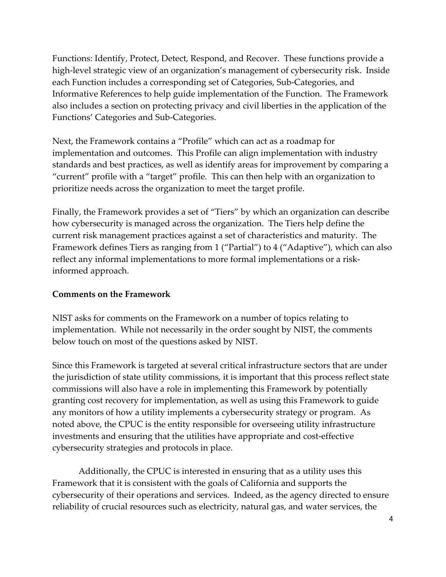Functions: Identify, Protect, Detect, Respond, and Recover. These functions provide a high-level strategic view of an organization's management of cybersecurity risk. Inside each Function includes a corresponding set of Categories, Sub-Categories, and Informative References to help guide implementation of the Function. The Framework also includes a section on protecting privacy and civil liberties in the application of the Functions' Categories and Sub-Categories.

Next, the Framework contains a "Profile" which can act as a roadmap for implementation and outcomes. This Profile can align implementation with industry standards and best practices, as well as identify areas for improvement by comparing a "current" profile with a "target" profile. This can then help with an organization to prioritize needs across the organization to meet the target profile.

 Framework defines Tiers as ranging from 1 ("Partial") to 4 ("Adaptive"), which can also Finally, the Framework provides a set of "Tiers" by which an organization can describe how cybersecurity is managed across the organization. The Tiers help define the current risk management practices against a set of characteristics and maturity. The reflect any informal implementations to more formal implementations or a riskinformed approach.

#### **Comments on the Framework**

NIST asks for comments on the Framework on a number of topics relating to implementation. While not necessarily in the order sought by NIST, the comments below touch on most of the questions asked by NIST.

 any monitors of how a utility implements a cybersecurity strategy or program. As cybersecurity strategies and protocols in place. Since this Framework is targeted at several critical infrastructure sectors that are under the jurisdiction of state utility commissions, it is important that this process reflect state commissions will also have a role in implementing this Framework by potentially granting cost recovery for implementation, as well as using this Framework to guide noted above, the CPUC is the entity responsible for overseeing utility infrastructure investments and ensuring that the utilities have appropriate and cost-effective

 cybersecurity of their operations and services. Indeed, as the agency directed to ensure Additionally, the CPUC is interested in ensuring that as a utility uses this Framework that it is consistent with the goals of California and supports the reliability of crucial resources such as electricity, natural gas, and water services, the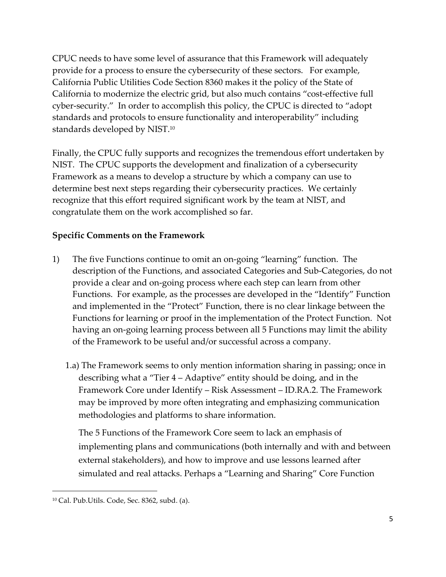CPUC needs to have some level of assurance that this Framework will adequately provide for a process to ensure the cybersecurity of these sectors. For example, California Public Utilities Code Section 8360 makes it the policy of the State of California to modernize the electric grid, but also much contains "cost-effective full cyber-security." In order to accomplish this policy, the CPUC is directed to "adopt standards and protocols to ensure functionality and interoperability" including standards developed by NIST.10

Finally, the CPUC fully supports and recognizes the tremendous effort undertaken by NIST. The CPUC supports the development and finalization of a cybersecurity Framework as a means to develop a structure by which a company can use to determine best next steps regarding their cybersecurity practices. We certainly recognize that this effort required significant work by the team at NIST, and congratulate them on the work accomplished so far.

## **Specific Comments on the Framework**

- 1) The five Functions continue to omit an on-going "learning" function. The description of the Functions, and associated Categories and Sub-Categories, do not provide a clear and on-going process where each step can learn from other Functions. For example, as the processes are developed in the "Identify" Function and implemented in the "Protect" Function, there is no clear linkage between the Functions for learning or proof in the implementation of the Protect Function. Not having an on-going learning process between all 5 Functions may limit the ability of the Framework to be useful and/or successful across a company.
	- Framework Core under Identify Risk Assessment ID.RA.2. The Framework 1.a) The Framework seems to only mention information sharing in passing; once in describing what a "Tier 4 – Adaptive" entity should be doing, and in the may be improved by more often integrating and emphasizing communication methodologies and platforms to share information.

The 5 Functions of the Framework Core seem to lack an emphasis of implementing plans and communications (both internally and with and between external stakeholders), and how to improve and use lessons learned after simulated and real attacks. Perhaps a "Learning and Sharing" Core Function

<sup>10</sup> Cal. Pub.Utils. Code, Sec. 8362, subd. (a).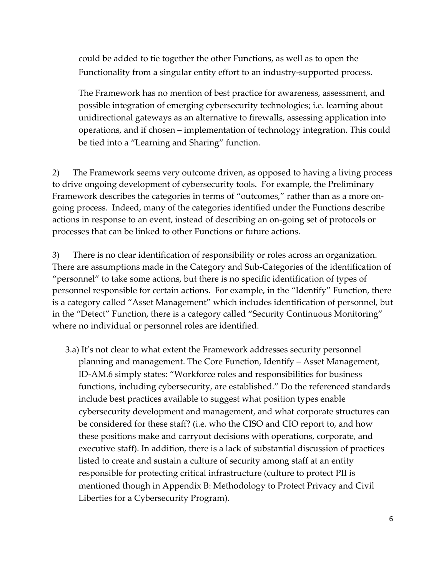could be added to tie together the other Functions, as well as to open the Functionality from a singular entity effort to an industry-supported process.

The Framework has no mention of best practice for awareness, assessment, and possible integration of emerging cybersecurity technologies; i.e. learning about unidirectional gateways as an alternative to firewalls, assessing application into operations, and if chosen – implementation of technology integration. This could be tied into a "Learning and Sharing" function.

 to drive ongoing development of cybersecurity tools. For example, the Preliminary 2) The Framework seems very outcome driven, as opposed to having a living process Framework describes the categories in terms of "outcomes," rather than as a more ongoing process. Indeed, many of the categories identified under the Functions describe actions in response to an event, instead of describing an on-going set of protocols or processes that can be linked to other Functions or future actions.

3) There is no clear identification of responsibility or roles across an organization. There are assumptions made in the Category and Sub-Categories of the identification of "personnel" to take some actions, but there is no specific identification of types of personnel responsible for certain actions. For example, in the "Identify" Function, there is a category called "Asset Management" which includes identification of personnel, but in the "Detect" Function, there is a category called "Security Continuous Monitoring" where no individual or personnel roles are identified.

 planning and management. The Core Function, Identify – Asset Management, executive staff). In addition, there is a lack of substantial discussion of practices 3.a) It's not clear to what extent the Framework addresses security personnel ID-AM.6 simply states: "Workforce roles and responsibilities for business functions, including cybersecurity, are established." Do the referenced standards include best practices available to suggest what position types enable cybersecurity development and management, and what corporate structures can be considered for these staff? (i.e. who the CISO and CIO report to, and how these positions make and carryout decisions with operations, corporate, and listed to create and sustain a culture of security among staff at an entity responsible for protecting critical infrastructure (culture to protect PII is mentioned though in Appendix B: Methodology to Protect Privacy and Civil Liberties for a Cybersecurity Program).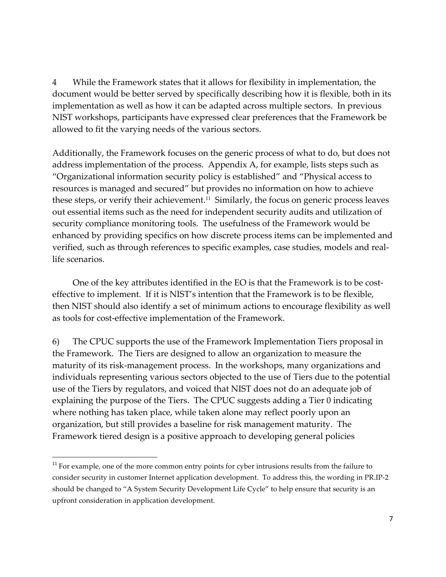document would be better served by specifically describing how it is flexible, both in its implementation as well as how it can be adapted across multiple sectors. In previous 4 While the Framework states that it allows for flexibility in implementation, the NIST workshops, participants have expressed clear preferences that the Framework be allowed to fit the varying needs of the various sectors.

these steps, or verify their achievement.<sup>11</sup> Similarly, the focus on generic process leaves Additionally, the Framework focuses on the generic process of what to do, but does not address implementation of the process. Appendix A, for example, lists steps such as "Organizational information security policy is established" and "Physical access to resources is managed and secured" but provides no information on how to achieve out essential items such as the need for independent security audits and utilization of security compliance monitoring tools. The usefulness of the Framework would be enhanced by providing specifics on how discrete process items can be implemented and verified, such as through references to specific examples, case studies, models and reallife scenarios.

 effective to implement. If it is NIST's intention that the Framework is to be flexible, One of the key attributes identified in the EO is that the Framework is to be costthen NIST should also identify a set of minimum actions to encourage flexibility as well as tools for cost-effective implementation of the Framework.

 6) The CPUC supports the use of the Framework Implementation Tiers proposal in maturity of its risk-management process. In the workshops, many organizations and individuals representing various sectors objected to the use of Tiers due to the potential use of the Tiers by regulators, and voiced that NIST does not do an adequate job of explaining the purpose of the Tiers. The CPUC suggests adding a Tier 0 indicating organization, but still provides a baseline for risk management maturity. The the Framework. The Tiers are designed to allow an organization to measure the where nothing has taken place, while taken alone may reflect poorly upon an Framework tiered design is a positive approach to developing general policies

 $11$  For example, one of the more common entry points for cyber intrusions results from the failure to consider security in customer Internet application development. To address this, the wording in PR.IP-2 should be changed to "A System Security Development Life Cycle" to help ensure that security is an upfront consideration in application development.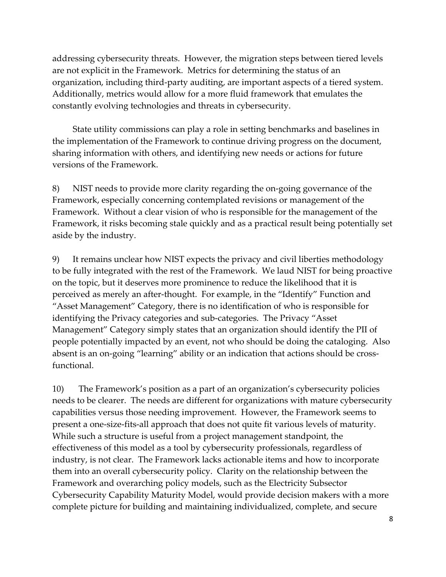addressing cybersecurity threats. However, the migration steps between tiered levels are not explicit in the Framework. Metrics for determining the status of an organization, including third-party auditing, are important aspects of a tiered system. Additionally, metrics would allow for a more fluid framework that emulates the constantly evolving technologies and threats in cybersecurity.

State utility commissions can play a role in setting benchmarks and baselines in the implementation of the Framework to continue driving progress on the document, sharing information with others, and identifying new needs or actions for future versions of the Framework.

 8) NIST needs to provide more clarity regarding the on-going governance of the Framework, it risks becoming stale quickly and as a practical result being potentially set Framework, especially concerning contemplated revisions or management of the Framework. Without a clear vision of who is responsible for the management of the aside by the industry.

 9) It remains unclear how NIST expects the privacy and civil liberties methodology absent is an on-going "learning" ability or an indication that actions should be crossto be fully integrated with the rest of the Framework. We laud NIST for being proactive on the topic, but it deserves more prominence to reduce the likelihood that it is perceived as merely an after-thought. For example, in the "Identify" Function and "Asset Management" Category, there is no identification of who is responsible for identifying the Privacy categories and sub-categories. The Privacy "Asset Management" Category simply states that an organization should identify the PII of people potentially impacted by an event, not who should be doing the cataloging. Also functional.

 present a one-size-fits-all approach that does not quite fit various levels of maturity. 10) The Framework's position as a part of an organization's cybersecurity policies needs to be clearer. The needs are different for organizations with mature cybersecurity capabilities versus those needing improvement. However, the Framework seems to While such a structure is useful from a project management standpoint, the effectiveness of this model as a tool by cybersecurity professionals, regardless of industry, is not clear. The Framework lacks actionable items and how to incorporate them into an overall cybersecurity policy. Clarity on the relationship between the Framework and overarching policy models, such as the Electricity Subsector Cybersecurity Capability Maturity Model, would provide decision makers with a more complete picture for building and maintaining individualized, complete, and secure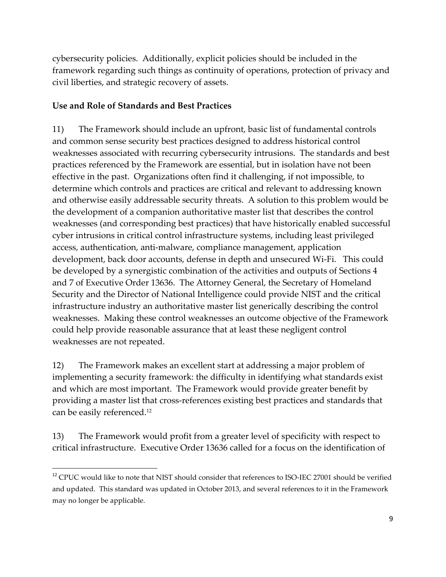cybersecurity policies. Additionally, explicit policies should be included in the framework regarding such things as continuity of operations, protection of privacy and civil liberties, and strategic recovery of assets.

# **Use and Role of Standards and Best Practices**

 development, back door accounts, defense in depth and unsecured Wi-Fi. This could 11) The Framework should include an upfront, basic list of fundamental controls and common sense security best practices designed to address historical control weaknesses associated with recurring cybersecurity intrusions. The standards and best practices referenced by the Framework are essential, but in isolation have not been effective in the past. Organizations often find it challenging, if not impossible, to determine which controls and practices are critical and relevant to addressing known and otherwise easily addressable security threats. A solution to this problem would be the development of a companion authoritative master list that describes the control weaknesses (and corresponding best practices) that have historically enabled successful cyber intrusions in critical control infrastructure systems, including least privileged access, authentication, anti-malware, compliance management, application be developed by a synergistic combination of the activities and outputs of Sections 4 and 7 of Executive Order 13636. The Attorney General, the Secretary of Homeland Security and the Director of National Intelligence could provide NIST and the critical infrastructure industry an authoritative master list generically describing the control weaknesses. Making these control weaknesses an outcome objective of the Framework could help provide reasonable assurance that at least these negligent control weaknesses are not repeated.

12) The Framework makes an excellent start at addressing a major problem of implementing a security framework: the difficulty in identifying what standards exist and which are most important. The Framework would provide greater benefit by providing a master list that cross-references existing best practices and standards that can be easily referenced.<sup>12</sup>

13) The Framework would profit from a greater level of specificity with respect to critical infrastructure. Executive Order 13636 called for a focus on the identification of

<sup>&</sup>lt;sup>12</sup> CPUC would like to note that NIST should consider that references to ISO-IEC 27001 should be verified and updated. This standard was updated in October 2013, and several references to it in the Framework may no longer be applicable.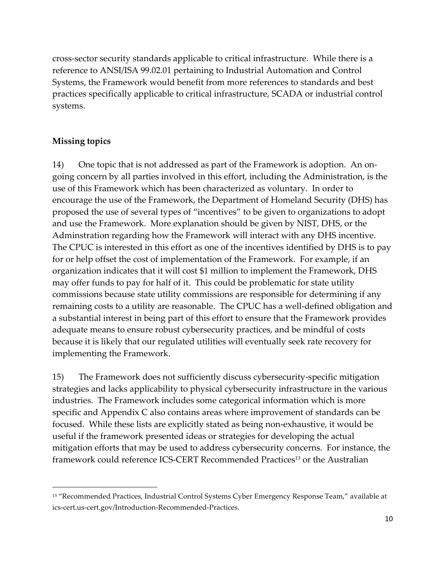cross-sector security standards applicable to critical infrastructure. While there is a reference to ANSI/ISA 99.02.01 pertaining to Industrial Automation and Control Systems, the Framework would benefit from more references to standards and best practices specifically applicable to critical infrastructure, SCADA or industrial control systems.

## **Missing topics**

 14) One topic that is not addressed as part of the Framework is adoption. An on- encourage the use of the Framework, the Department of Homeland Security (DHS) has proposed the use of several types of "incentives" to be given to organizations to adopt commissions because state utility commissions are responsible for determining if any remaining costs to a utility are reasonable. The CPUC has a well-defined obligation and adequate means to ensure robust cybersecurity practices, and be mindful of costs because it is likely that our regulated utilities will eventually seek rate recovery for going concern by all parties involved in this effort, including the Administration, is the use of this Framework which has been characterized as voluntary. In order to and use the Framework. More explanation should be given by NIST, DHS, or the Adminstration regarding how the Framework will interact with any DHS incentive. The CPUC is interested in this effort as one of the incentives identified by DHS is to pay for or help offset the cost of implementation of the Framework. For example, if an organization indicates that it will cost \$1 million to implement the Framework, DHS may offer funds to pay for half of it. This could be problematic for state utility a substantial interest in being part of this effort to ensure that the Framework provides implementing the Framework.

 15) The Framework does not sufficiently discuss cybersecurity-specific mitigation strategies and lacks applicability to physical cybersecurity infrastructure in the various industries. The Framework includes some categorical information which is more specific and Appendix C also contains areas where improvement of standards can be focused. While these lists are explicitly stated as being non-exhaustive, it would be useful if the framework presented ideas or strategies for developing the actual mitigation efforts that may be used to address cybersecurity concerns. For instance, the framework could reference ICS-CERT Recommended Practices<sup>13</sup> or the Australian

<sup>&</sup>lt;sup>13</sup> "Recommended Practices, Industrial Control Systems Cyber Emergency Response Team," available at ics-cert.us-cert.gov/Introduction-Recommended-Practices.